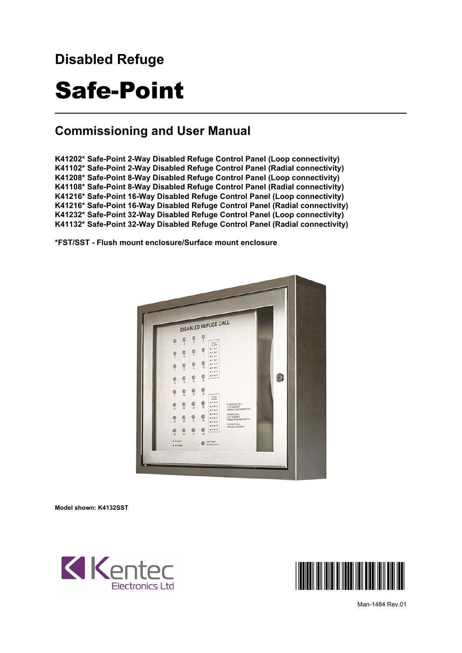## **Disabled Refuge**

## Safe-Point

#### **Commissioning and User Manual**

**K41202\* Safe-Point 2-Way Disabled Refuge Control Panel (Loop connectivity) K41102\* Safe-Point 2-Way Disabled Refuge Control Panel (Radial connectivity) K41208\* Safe-Point 8-Way Disabled Refuge Control Panel (Loop connectivity) K41108\* Safe-Point 8-Way Disabled Refuge Control Panel (Radial connectivity) K41216\* Safe-Point 16-Way Disabled Refuge Control Panel (Loop connectivity) K41216\* Safe-Point 16-Way Disabled Refuge Control Panel (Radial connectivity) K41232\* Safe-Point 32-Way Disabled Refuge Control Panel (Loop connectivity) K41132\* Safe-Point 32-Way Disabled Refuge Control Panel (Radial connectivity)**

**\*FST/SST - Flush mount enclosure/Surface mount enclosure**



**Model shown: K4132SST**



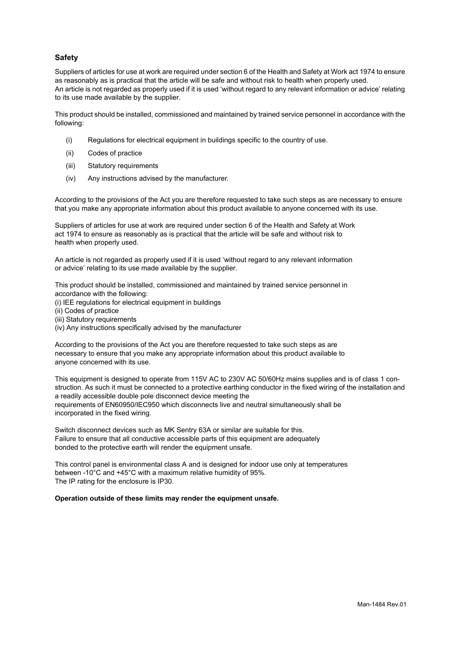#### **Safety**

Suppliers of articles for use at work are required under section 6 of the Health and Safety at Work act 1974 to ensure as reasonably as is practical that the article will be safe and without risk to health when properly used. An article is not regarded as properly used if it is used 'without regard to any relevant information or advice' relating to its use made available by the supplier.

This product should be installed, commissioned and maintained by trained service personnel in accordance with the following:

- (i) Regulations for electrical equipment in buildings specific to the country of use.
- (ii) Codes of practice
- (iii) Statutory requirements
- (iv) Any instructions advised by the manufacturer.

According to the provisions of the Act you are therefore requested to take such steps as are necessary to ensure that you make any appropriate information about this product available to anyone concerned with its use.

Suppliers of articles for use at work are required under section 6 of the Health and Safety at Work act 1974 to ensure as reasonably as is practical that the article will be safe and without risk to health when properly used.

An article is not regarded as properly used if it is used 'without regard to any relevant information or advice' relating to its use made available by the supplier.

This product should be installed, commissioned and maintained by trained service personnel in accordance with the following:

- (i) IEE regulations for electrical equipment in buildings
- (ii) Codes of practice
- (iii) Statutory requirements
- (iv) Any instructions specifically advised by the manufacturer

According to the provisions of the Act you are therefore requested to take such steps as are necessary to ensure that you make any appropriate information about this product available to anyone concerned with its use.

This equipment is designed to operate from 115V AC to 230V AC 50/60Hz mains supplies and is of class 1 construction. As such it must be connected to a protective earthing conductor in the fixed wiring of the installation and a readily accessible double pole disconnect device meeting the requirements of EN60950/IEC950 which disconnects live and neutral simultaneously shall be incorporated in the fixed wiring.

Switch disconnect devices such as MK Sentry 63A or similar are suitable for this. Failure to ensure that all conductive accessible parts of this equipment are adequately bonded to the protective earth will render the equipment unsafe.

This control panel is environmental class A and is designed for indoor use only at temperatures between -10°C and +45°C with a maximum relative humidity of 95%. The IP rating for the enclosure is IP30.

#### **Operation outside of these limits may render the equipment unsafe.**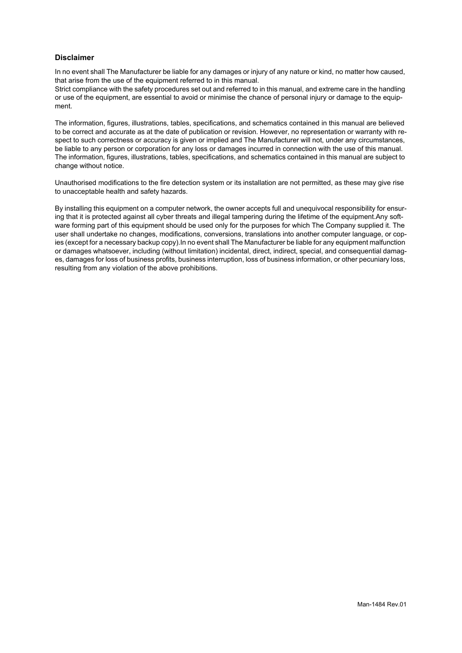#### **Disclaimer**

In no event shall The Manufacturer be liable for any damages or injury of any nature or kind, no matter how caused, that arise from the use of the equipment referred to in this manual.

Strict compliance with the safety procedures set out and referred to in this manual, and extreme care in the handling or use of the equipment, are essential to avoid or minimise the chance of personal injury or damage to the equipment.

The information, figures, illustrations, tables, specifications, and schematics contained in this manual are believed to be correct and accurate as at the date of publication or revision. However, no representation or warranty with respect to such correctness or accuracy is given or implied and The Manufacturer will not, under any circumstances, be liable to any person or corporation for any loss or damages incurred in connection with the use of this manual. The information, figures, illustrations, tables, specifications, and schematics contained in this manual are subject to change without notice.

Unauthorised modifications to the fire detection system or its installation are not permitted, as these may give rise to unacceptable health and safety hazards.

By installing this equipment on a computer network, the owner accepts full and unequivocal responsibility for ensuring that it is protected against all cyber threats and illegal tampering during the lifetime of the equipment.Any software forming part of this equipment should be used only for the purposes for which The Company supplied it. The user shall undertake no changes, modifications, conversions, translations into another computer language, or copies (except for a necessary backup copy).In no event shall The Manufacturer be liable for any equipment malfunction or damages whatsoever, including (without limitation) incidental, direct, indirect, special, and consequential damages, damages for loss of business profits, business interruption, loss of business information, or other pecuniary loss, resulting from any violation of the above prohibitions.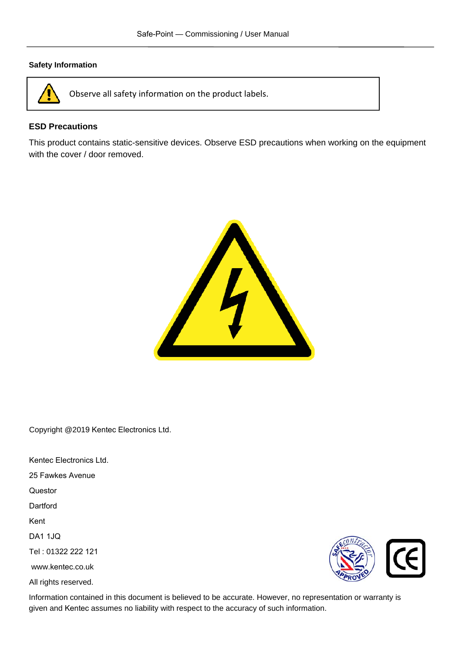#### **Safety Information**



Observe all safety information on the product labels.

#### **ESD Precautions**

This product contains static-sensitive devices. Observe ESD precautions when working on the equipment with the cover / door removed.



Copyright @2019 Kentec Electronics Ltd.

Kentec Electronics Ltd.

25 Fawkes Avenue

Questor

Dartford

Kent

DA1 1JQ

Tel : 01322 222 121

www.kentec.co.uk

All rights reserved.



Information contained in this document is believed to be accurate. However, no representation or warranty is given and Kentec assumes no liability with respect to the accuracy of such information.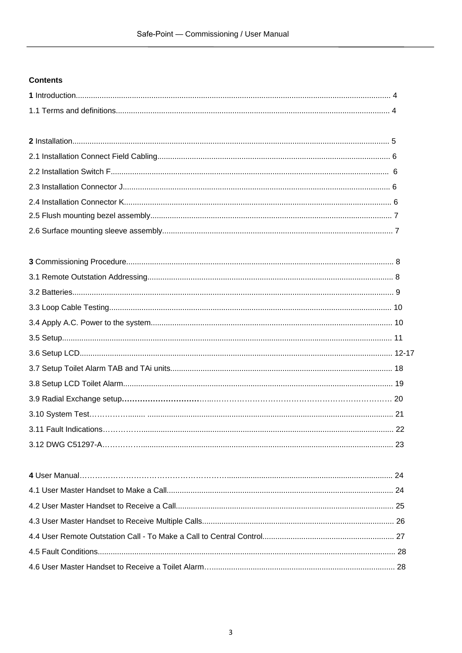#### **Contents**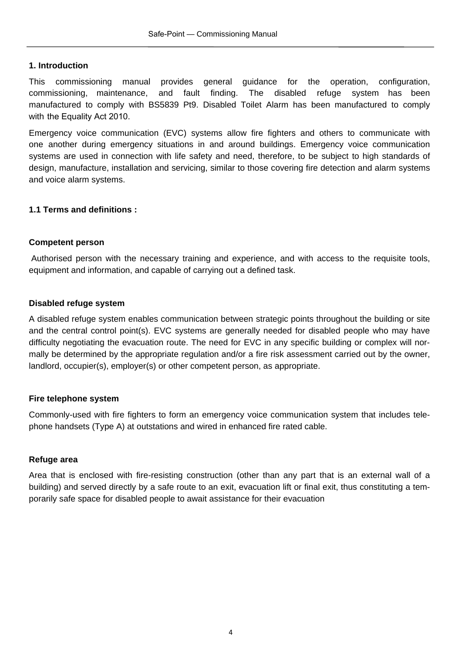#### **1. Introduction**

This commissioning manual provides general guidance for the operation, configuration, commissioning, maintenance, and fault finding. The disabled refuge system has been manufactured to comply with BS5839 Pt9. Disabled Toilet Alarm has been manufactured to comply with the Equality Act 2010.

Emergency voice communication (EVC) systems allow fire fighters and others to communicate with one another during emergency situations in and around buildings. Emergency voice communication systems are used in connection with life safety and need, therefore, to be subject to high standards of design, manufacture, installation and servicing, similar to those covering fire detection and alarm systems and voice alarm systems.

#### **1.1 Terms and definitions :**

#### **Competent person**

Authorised person with the necessary training and experience, and with access to the requisite tools, equipment and information, and capable of carrying out a defined task.

#### **Disabled refuge system**

A disabled refuge system enables communication between strategic points throughout the building or site and the central control point(s). EVC systems are generally needed for disabled people who may have difficulty negotiating the evacuation route. The need for EVC in any specific building or complex will normally be determined by the appropriate regulation and/or a fire risk assessment carried out by the owner, landlord, occupier(s), employer(s) or other competent person, as appropriate.

#### **Fire telephone system**

Commonly-used with fire fighters to form an emergency voice communication system that includes telephone handsets (Type A) at outstations and wired in enhanced fire rated cable.

#### **Refuge area**

Area that is enclosed with fire-resisting construction (other than any part that is an external wall of a building) and served directly by a safe route to an exit, evacuation lift or final exit, thus constituting a temporarily safe space for disabled people to await assistance for their evacuation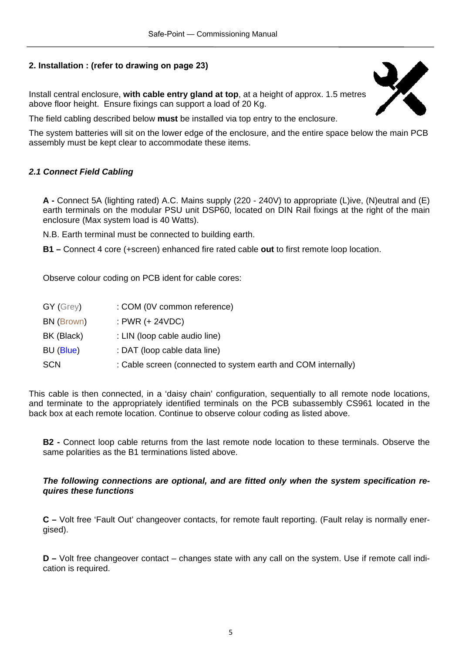#### **2. Installation : (refer to drawing on page 23)**

Install central enclosure, **with cable entry gland at top**, at a height of approx. 1.5 metres above floor height. Ensure fixings can support a load of 20 Kg.



The field cabling described below **must** be installed via top entry to the enclosure.

The system batteries will sit on the lower edge of the enclosure, and the entire space below the main PCB assembly must be kept clear to accommodate these items.

#### *2.1 Connect Field Cabling*

**A -** Connect 5A (lighting rated) A.C. Mains supply (220 - 240V) to appropriate (L)ive, (N)eutral and (E) earth terminals on the modular PSU unit DSP60, located on DIN Rail fixings at the right of the main enclosure (Max system load is 40 Watts).

N.B. Earth terminal must be connected to building earth.

**B1 –** Connect 4 core (+screen) enhanced fire rated cable **out** to first remote loop location.

Observe colour coding on PCB ident for cable cores:

| $GY$ (Grey) | : COM (0V common reference)                                   |
|-------------|---------------------------------------------------------------|
| BN (Brown)  | : PWR $(+ 24VDC)$                                             |
| BK (Black)  | : LIN (loop cable audio line)                                 |
| BU (Blue)   | : DAT (loop cable data line)                                  |
| <b>SCN</b>  | : Cable screen (connected to system earth and COM internally) |

This cable is then connected, in a 'daisy chain' configuration, sequentially to all remote node locations, and terminate to the appropriately identified terminals on the PCB subassembly CS961 located in the back box at each remote location. Continue to observe colour coding as listed above.

**B2 -** Connect loop cable returns from the last remote node location to these terminals. Observe the same polarities as the B1 terminations listed above.

#### *The following connections are optional, and are fitted only when the system specification requires these functions*

**C –** Volt free 'Fault Out' changeover contacts, for remote fault reporting. (Fault relay is normally energised).

**D –** Volt free changeover contact – changes state with any call on the system. Use if remote call indication is required.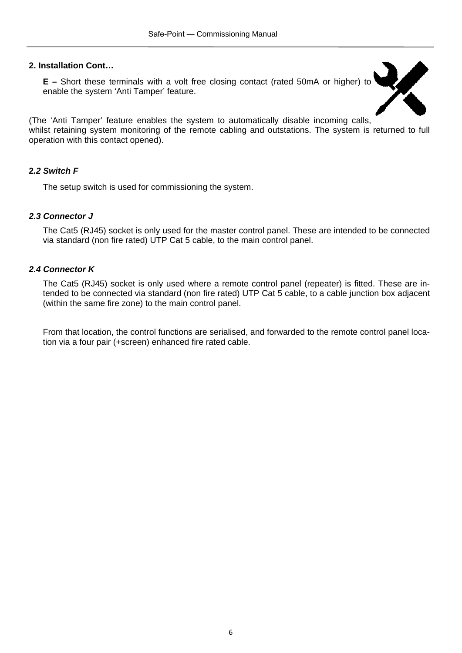#### **2. Installation Cont…**

**E –** Short these terminals with a volt free closing contact (rated 50mA or higher) to enable the system 'Anti Tamper' feature.



(The 'Anti Tamper' feature enables the system to automatically disable incoming calls, whilst retaining system monitoring of the remote cabling and outstations. The system is returned to full operation with this contact opened).

#### **2***.2 Switch F*

The setup switch is used for commissioning the system.

#### *2.3 Connector J*

The Cat5 (RJ45) socket is only used for the master control panel. These are intended to be connected via standard (non fire rated) UTP Cat 5 cable, to the main control panel.

#### *2.4 Connector K*

The Cat5 (RJ45) socket is only used where a remote control panel (repeater) is fitted. These are intended to be connected via standard (non fire rated) UTP Cat 5 cable, to a cable junction box adjacent (within the same fire zone) to the main control panel.

From that location, the control functions are serialised, and forwarded to the remote control panel location via a four pair (+screen) enhanced fire rated cable.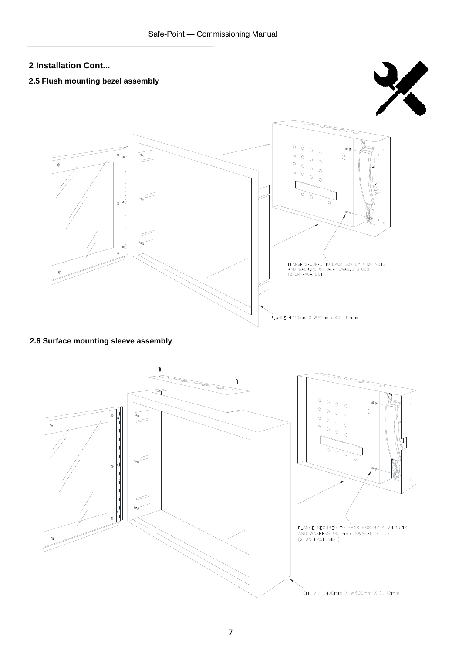### **2 Installation Cont... 2.5 Flush mounting bezel assembly**   $\overline{O}$  $\overline{O}$  $\circ$ [<br>| | | | | |<br>| |  $\overline{O}$  $\ddot{\phantom{a}}$  ,  $\overline{O}$  $\circ$  $\Omega$  $\Omega$  $\Omega$  $\overline{O}$ NANGE SECURED TO BACK BOX BY 4 M4 NUTS<br>AND WASHERS ON 8mm SWAGED STUDS<br>(2 ON EACH SIDE) V<br>FLANGE H.410mm X W.510mm X D. 1.5mm

**2.6 Surface mounting sleeve assembly** 

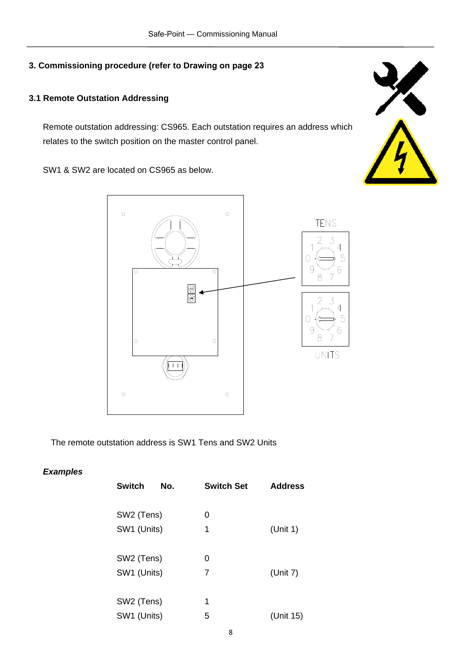#### **3.1 Remote Outstation Addressing**

Remote outstation addressing: CS965. Each outstation requires an address which relates to the switch position on the master control panel.

SW1 & SW2 are located on CS965 as below.



The remote outstation address is SW1 Tens and SW2 Units

#### *Examples*

| <b>Switch</b><br>No. | <b>Switch Set</b> | <b>Address</b> |
|----------------------|-------------------|----------------|
|                      |                   |                |
| SW2 (Tens)           | 0                 |                |
| SW1 (Units)          | 1                 | (Unit 1)       |
|                      |                   |                |
| SW2 (Tens)           | 0                 |                |
| SW1 (Units)          | 7                 | (Unit $7$ )    |
|                      |                   |                |
| SW2 (Tens)           | 1                 |                |
| SW1 (Units)          | 5                 | (Unit 15)      |
|                      |                   |                |

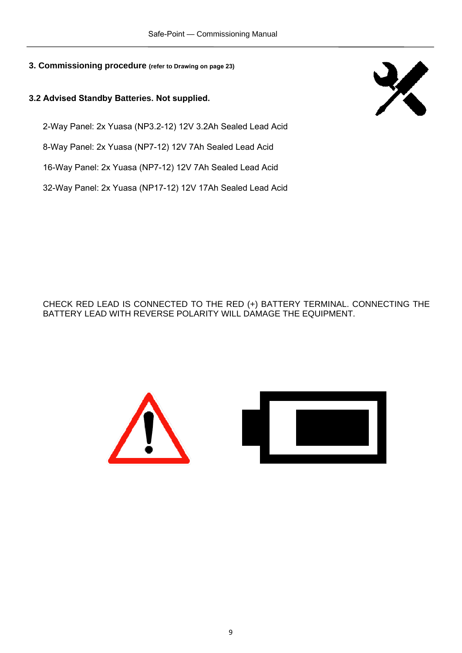#### **3.2 Advised Standby Batteries. Not supplied.**

2-Way Panel: 2x Yuasa (NP3.2-12) 12V 3.2Ah Sealed Lead Acid

8-Way Panel: 2x Yuasa (NP7-12) 12V 7Ah Sealed Lead Acid

16-Way Panel: 2x Yuasa (NP7-12) 12V 7Ah Sealed Lead Acid

32-Way Panel: 2x Yuasa (NP17-12) 12V 17Ah Sealed Lead Acid



CHECK RED LEAD IS CONNECTED TO THE RED (+) BATTERY TERMINAL. CONNECTING THE BATTERY LEAD WITH REVERSE POLARITY WILL DAMAGE THE EQUIPMENT.

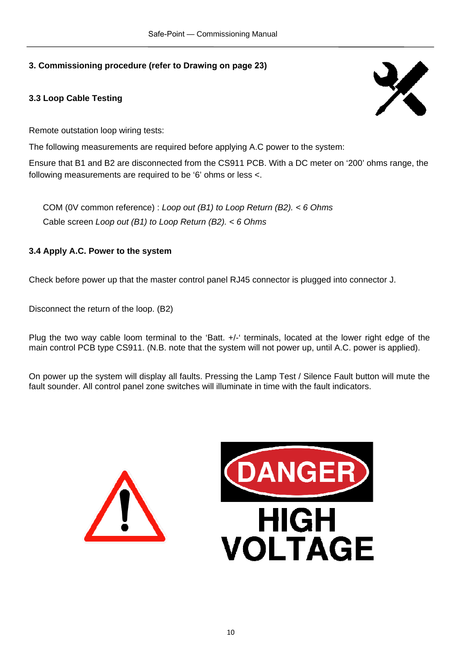#### **3.3 Loop Cable Testing**



Remote outstation loop wiring tests:

The following measurements are required before applying A.C power to the system:

Ensure that B1 and B2 are disconnected from the CS911 PCB. With a DC meter on '200' ohms range, the following measurements are required to be '6' ohms or less <.

COM (0V common reference) : *Loop out (B1) to Loop Return (B2). < 6 Ohms*  Cable screen *Loop out (B1) to Loop Return (B2). < 6 Ohms* 

#### **3.4 Apply A.C. Power to the system**

Check before power up that the master control panel RJ45 connector is plugged into connector J.

Disconnect the return of the loop. (B2)

Plug the two way cable loom terminal to the 'Batt. +/-' terminals, located at the lower right edge of the main control PCB type CS911. (N.B. note that the system will not power up, until A.C. power is applied).

On power up the system will display all faults. Pressing the Lamp Test / Silence Fault button will mute the fault sounder. All control panel zone switches will illuminate in time with the fault indicators.



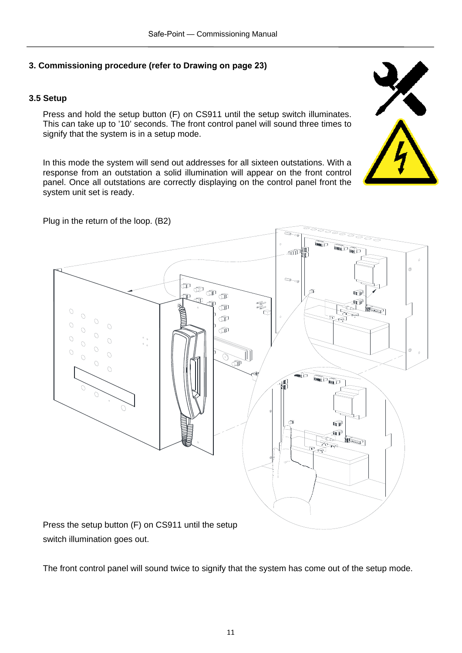#### **3.5 Setup**

Press and hold the setup button (F) on CS911 until the setup switch illuminates. This can take up to '10' seconds. The front control panel will sound three times to signify that the system is in a setup mode.

In this mode the system will send out addresses for all sixteen outstations. With a response from an outstation a solid illumination will appear on the front control panel. Once all outstations are correctly displaying on the control panel front the system unit set is ready.





switch illumination goes out.

The front control panel will sound twice to signify that the system has come out of the setup mode.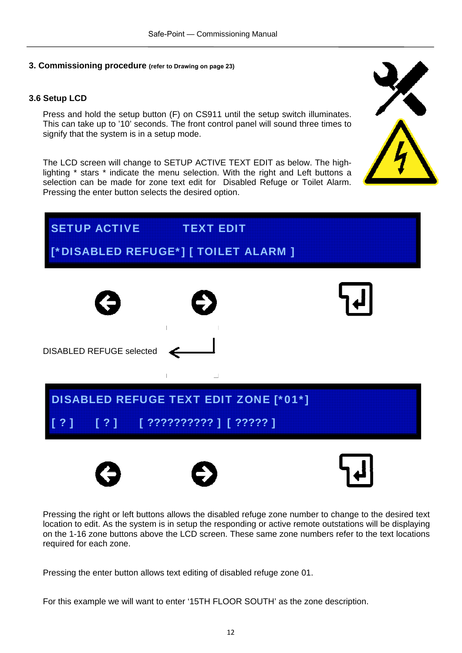#### **3.6 Setup LCD**

Press and hold the setup button (F) on CS911 until the setup switch illuminates. This can take up to '10' seconds. The front control panel will sound three times to signify that the system is in a setup mode.

The LCD screen will change to SETUP ACTIVE TEXT EDIT as below. The highlighting \* stars \* indicate the menu selection. With the right and Left buttons a selection can be made for zone text edit for Disabled Refuge or Toilet Alarm. Pressing the enter button selects the desired option.







Pressing the right or left buttons allows the disabled refuge zone number to change to the desired text location to edit. As the system is in setup the responding or active remote outstations will be displaying on the 1-16 zone buttons above the LCD screen. These same zone numbers refer to the text locations required for each zone.

Pressing the enter button allows text editing of disabled refuge zone 01.

For this example we will want to enter '15TH FLOOR SOUTH' as the zone description.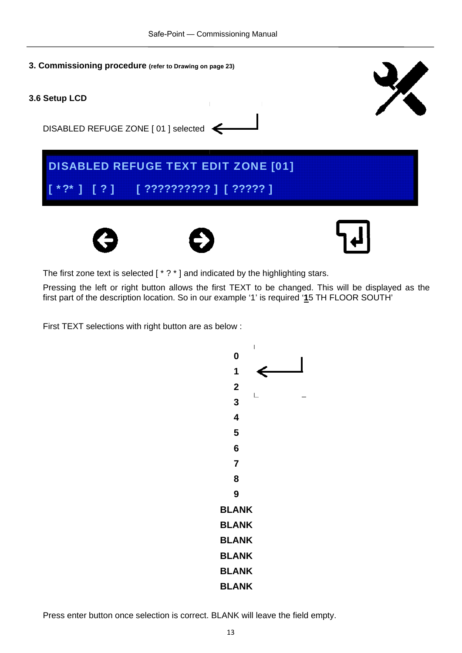

The first zone text is selected [ \* ? \* ] and indicated by the highlighting stars.

Pressing the left or right button allows the first TEXT to be changed. This will be displayed as the first part of the description location. So in our example '1' is required '**1**5 TH FLOOR SOUTH'

First TEXT selections with right button are as below :

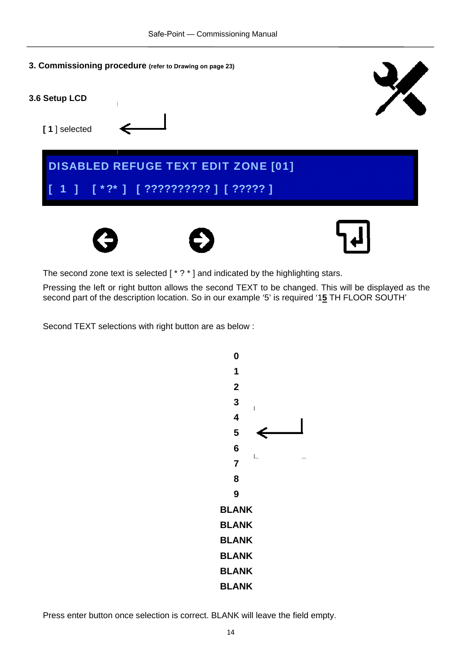



The second zone text is selected [ \* ? \* ] and indicated by the highlighting stars.

Pressing the left or right button allows the second TEXT to be changed. This will be displayed as the second part of the description location. So in our example '5' is required '1**5** TH FLOOR SOUTH'

Second TEXT selections with right button are as below :

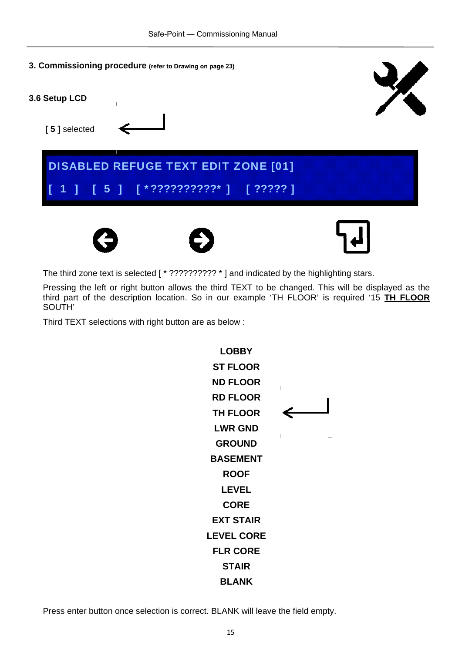



The third zone text is selected [  $*$  ?????????? \* ] and indicated by the highlighting stars.

Pressing the left or right button allows the third TEXT to be changed. This will be displayed as the third part of the description location. So in our example 'TH FLOOR' is required '15 **TH FLOOR**  SOUTH'

Third TEXT selections with right button are as below :

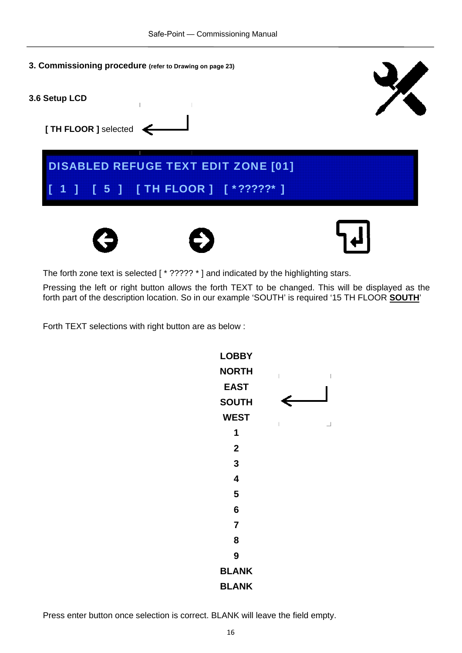**3. Commissioning procedure (refer to Drawing on page 23) 3.6 Setup LCD [ TH FLOOR ]** selected DISABLED REFUGE TEXT EDIT ZONE [01] [ 1 ] [ 5 ] [ TH FLOOR ] [ \*?????\* ]

The forth zone text is selected [  $*$  ?????  $*$  ] and indicated by the highlighting stars.

Pressing the left or right button allows the forth TEXT to be changed. This will be displayed as the forth part of the description location. So in our example 'SOUTH' is required '15 TH FLOOR **SOUTH**'

Forth TEXT selections with right button are as below :

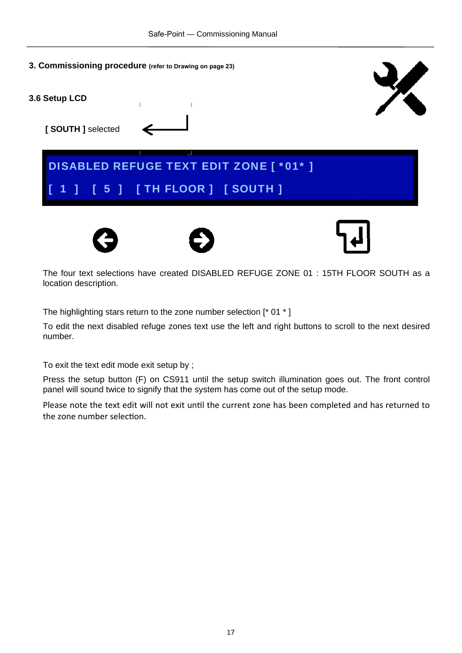- **3. Commissioning procedure (refer to Drawing on page 23)**
- **3.6 Setup LCD**

 **[ SOUTH ]** selected











The four text selections have created DISABLED REFUGE ZONE 01 : 15TH FLOOR SOUTH as a location description.

The highlighting stars return to the zone number selection [\* 01 \* ]

To edit the next disabled refuge zones text use the left and right buttons to scroll to the next desired number.

To exit the text edit mode exit setup by ;

Press the setup button (F) on CS911 until the setup switch illumination goes out. The front control panel will sound twice to signify that the system has come out of the setup mode.

Please note the text edit will not exit until the current zone has been completed and has returned to the zone number selection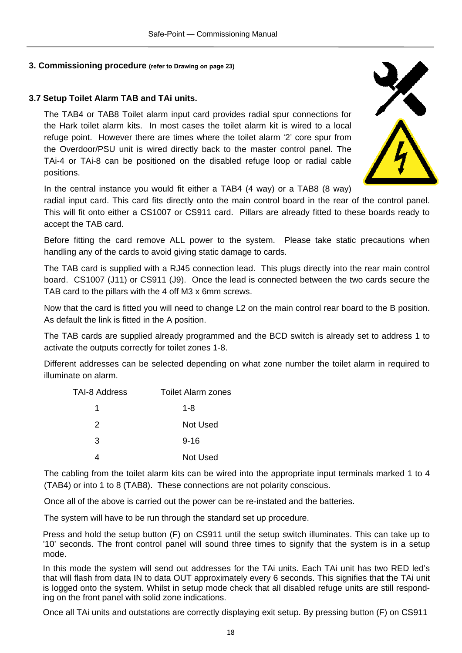#### **3.7 Setup Toilet Alarm TAB and TAi units.**

The TAB4 or TAB8 Toilet alarm input card provides radial spur connections for the Hark toilet alarm kits. In most cases the toilet alarm kit is wired to a local refuge point. However there are times where the toilet alarm '2' core spur from the Overdoor/PSU unit is wired directly back to the master control panel. The TAi-4 or TAi-8 can be positioned on the disabled refuge loop or radial cable positions.



In the central instance you would fit either a TAB4 (4 way) or a TAB8 (8 way)

radial input card. This card fits directly onto the main control board in the rear of the control panel. This will fit onto either a CS1007 or CS911 card. Pillars are already fitted to these boards ready to accept the TAB card.

Before fitting the card remove ALL power to the system. Please take static precautions when handling any of the cards to avoid giving static damage to cards.

The TAB card is supplied with a RJ45 connection lead. This plugs directly into the rear main control board. CS1007 (J11) or CS911 (J9). Once the lead is connected between the two cards secure the TAB card to the pillars with the 4 off M3 x 6mm screws.

Now that the card is fitted you will need to change L2 on the main control rear board to the B position. As default the link is fitted in the A position.

The TAB cards are supplied already programmed and the BCD switch is already set to address 1 to activate the outputs correctly for toilet zones 1-8.

Different addresses can be selected depending on what zone number the toilet alarm in required to illuminate on alarm.

| TAI-8 Address | <b>Toilet Alarm zones</b> |
|---------------|---------------------------|
|               | 1-8                       |
| 2             | Not Used                  |
| 3             | $9 - 16$                  |
|               | Not Used                  |

The cabling from the toilet alarm kits can be wired into the appropriate input terminals marked 1 to 4 (TAB4) or into 1 to 8 (TAB8). These connections are not polarity conscious.

Once all of the above is carried out the power can be re-instated and the batteries.

The system will have to be run through the standard set up procedure.

Press and hold the setup button (F) on CS911 until the setup switch illuminates. This can take up to '10' seconds. The front control panel will sound three times to signify that the system is in a setup mode.

In this mode the system will send out addresses for the TAi units. Each TAi unit has two RED led's that will flash from data IN to data OUT approximately every 6 seconds. This signifies that the TAi unit is logged onto the system. Whilst in setup mode check that all disabled refuge units are still responding on the front panel with solid zone indications.

Once all TAi units and outstations are correctly displaying exit setup. By pressing button (F) on CS911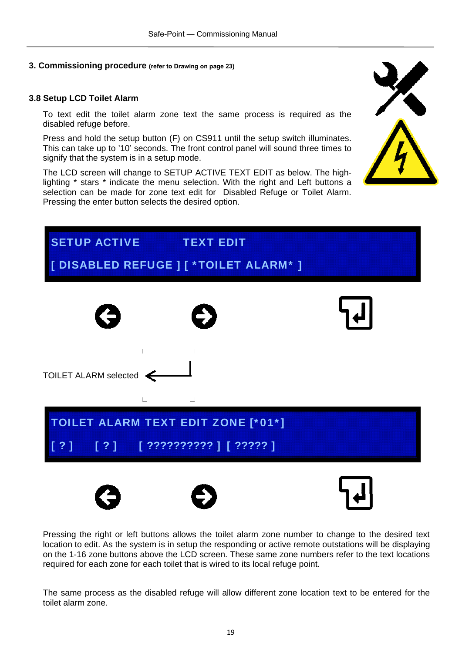#### **3.8 Setup LCD Toilet Alarm**

To text edit the toilet alarm zone text the same process is required as the disabled refuge before.

Press and hold the setup button (F) on CS911 until the setup switch illuminates. This can take up to '10' seconds. The front control panel will sound three times to signify that the system is in a setup mode.

The LCD screen will change to SETUP ACTIVE TEXT EDIT as below. The highlighting \* stars \* indicate the menu selection. With the right and Left buttons a selection can be made for zone text edit for Disabled Refuge or Toilet Alarm. Pressing the enter button selects the desired option.





Pressing the right or left buttons allows the toilet alarm zone number to change to the desired text location to edit. As the system is in setup the responding or active remote outstations will be displaying on the 1-16 zone buttons above the LCD screen. These same zone numbers refer to the text locations required for each zone for each toilet that is wired to its local refuge point.

The same process as the disabled refuge will allow different zone location text to be entered for the toilet alarm zone.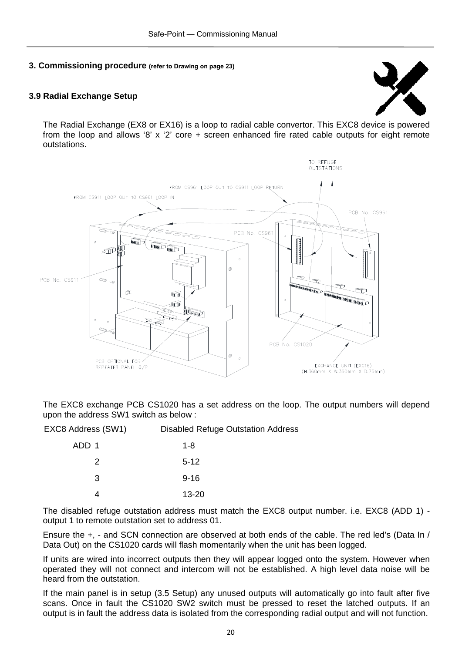#### **3.9 Radial Exchange Setup**



The Radial Exchange (EX8 or EX16) is a loop to radial cable convertor. This EXC8 device is powered from the loop and allows '8' x '2' core  $+$  screen enhanced fire rated cable outputs for eight remote outstations.



The EXC8 exchange PCB CS1020 has a set address on the loop. The output numbers will depend upon the address SW1 switch as below :

| EXC8 Address (SW1) | <b>Disabled Refuge Outstation Address</b> |
|--------------------|-------------------------------------------|
| ADD 1              | 1-8                                       |
| 2                  | $5-12$                                    |
| 3                  | $9 - 16$                                  |
|                    | $13 - 20$                                 |

The disabled refuge outstation address must match the EXC8 output number. i.e. EXC8 (ADD 1) output 1 to remote outstation set to address 01.

Ensure the +, - and SCN connection are observed at both ends of the cable. The red led's (Data In / Data Out) on the CS1020 cards will flash momentarily when the unit has been logged.

If units are wired into incorrect outputs then they will appear logged onto the system. However when operated they will not connect and intercom will not be established. A high level data noise will be heard from the outstation.

If the main panel is in setup (3.5 Setup) any unused outputs will automatically go into fault after five scans. Once in fault the CS1020 SW2 switch must be pressed to reset the latched outputs. If an output is in fault the address data is isolated from the corresponding radial output and will not function.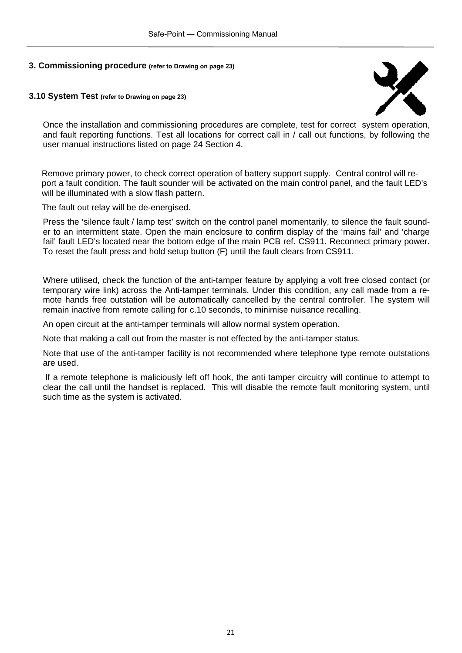#### **3.10 System Test (refer to Drawing on page 23)**



Once the installation and commissioning procedures are complete, test for correct system operation, and fault reporting functions. Test all locations for correct call in / call out functions, by following the user manual instructions listed on page 24 Section 4.

Remove primary power, to check correct operation of battery support supply. Central control will report a fault condition. The fault sounder will be activated on the main control panel, and the fault LED's will be illuminated with a slow flash pattern.

The fault out relay will be de-energised.

Press the 'silence fault / lamp test' switch on the control panel momentarily, to silence the fault sounder to an intermittent state. Open the main enclosure to confirm display of the 'mains fail' and 'charge fail' fault LED's located near the bottom edge of the main PCB ref. CS911. Reconnect primary power. To reset the fault press and hold setup button (F) until the fault clears from CS911.

Where utilised, check the function of the anti-tamper feature by applying a volt free closed contact (or temporary wire link) across the Anti-tamper terminals. Under this condition, any call made from a remote hands free outstation will be automatically cancelled by the central controller. The system will remain inactive from remote calling for c.10 seconds, to minimise nuisance recalling.

An open circuit at the anti-tamper terminals will allow normal system operation.

Note that making a call out from the master is not effected by the anti-tamper status.

Note that use of the anti-tamper facility is not recommended where telephone type remote outstations are used.

 If a remote telephone is maliciously left off hook, the anti tamper circuitry will continue to attempt to clear the call until the handset is replaced. This will disable the remote fault monitoring system, until such time as the system is activated.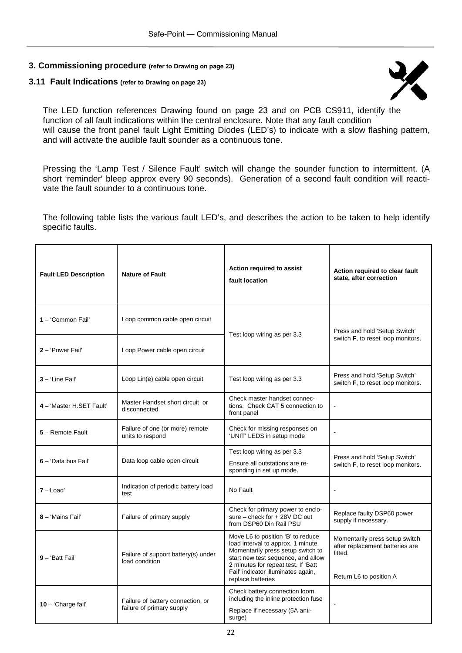#### **3.11 Fault Indications (refer to Drawing on page 23)**



The LED function references Drawing found on page 23 and on PCB CS911, identify the function of all fault indications within the central enclosure. Note that any fault condition will cause the front panel fault Light Emitting Diodes (LED's) to indicate with a slow flashing pattern, and will activate the audible fault sounder as a continuous tone.

Pressing the 'Lamp Test / Silence Fault' switch will change the sounder function to intermittent. (A short 'reminder' bleep approx every 90 seconds). Generation of a second fault condition will reactivate the fault sounder to a continuous tone.

The following table lists the various fault LED's, and describes the action to be taken to help identify specific faults.

| <b>Fault LED Description</b> | <b>Nature of Fault</b>                                         | Action required to assist<br>fault location                                                                                                                                                                                                          | Action required to clear fault<br>state, after correction                                               |
|------------------------------|----------------------------------------------------------------|------------------------------------------------------------------------------------------------------------------------------------------------------------------------------------------------------------------------------------------------------|---------------------------------------------------------------------------------------------------------|
| 1 - 'Common Fail'            | Loop common cable open circuit                                 | Test loop wiring as per 3.3                                                                                                                                                                                                                          | Press and hold 'Setup Switch'                                                                           |
| 2 - 'Power Fail'             | Loop Power cable open circuit                                  |                                                                                                                                                                                                                                                      | switch <b>F</b> , to reset loop monitors.                                                               |
| 3 - 'Line Fail'              | Loop Lin(e) cable open circuit                                 | Test loop wiring as per 3.3                                                                                                                                                                                                                          | Press and hold 'Setup Switch'<br>switch F, to reset loop monitors.                                      |
| 4 - 'Master H.SET Fault'     | Master Handset short circuit or<br>disconnected                | Check master handset connec-<br>tions. Check CAT 5 connection to<br>front panel                                                                                                                                                                      |                                                                                                         |
| 5 - Remote Fault             | Failure of one (or more) remote<br>units to respond            | Check for missing responses on<br>'UNIT' LEDS in setup mode                                                                                                                                                                                          |                                                                                                         |
| 6 - 'Data bus Fail'          | Data loop cable open circuit                                   | Test loop wiring as per 3.3<br>Ensure all outstations are re-<br>sponding in set up mode.                                                                                                                                                            | Press and hold 'Setup Switch'<br>switch F, to reset loop monitors.                                      |
| $7 -$ Load                   | Indication of periodic battery load<br>test                    | No Fault                                                                                                                                                                                                                                             | $\overline{\phantom{a}}$                                                                                |
| 8 - 'Mains Fail'             | Failure of primary supply                                      | Check for primary power to enclo-<br>sure - check for + 28V DC out<br>from DSP60 Din Rail PSU                                                                                                                                                        | Replace faulty DSP60 power<br>supply if necessary.                                                      |
| 9 - 'Batt Fail'              | Failure of support battery(s) under<br>load condition          | Move L6 to position 'B' to reduce<br>load interval to approx. 1 minute.<br>Momentarily press setup switch to<br>start new test sequence, and allow<br>2 minutes for repeat test. If 'Batt<br>Fail' indicator illuminates again,<br>replace batteries | Momentarily press setup switch<br>after replacement batteries are<br>fitted.<br>Return L6 to position A |
| 10 - 'Charge fail'           | Failure of battery connection, or<br>failure of primary supply | Check battery connection loom,<br>including the inline protection fuse<br>Replace if necessary (5A anti-<br>surge)                                                                                                                                   | $\blacksquare$                                                                                          |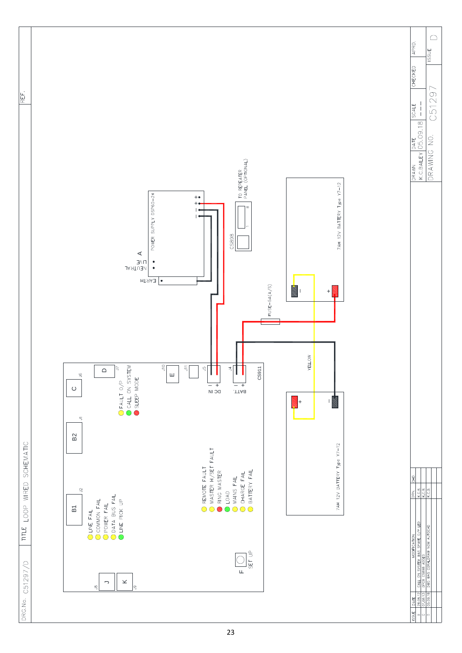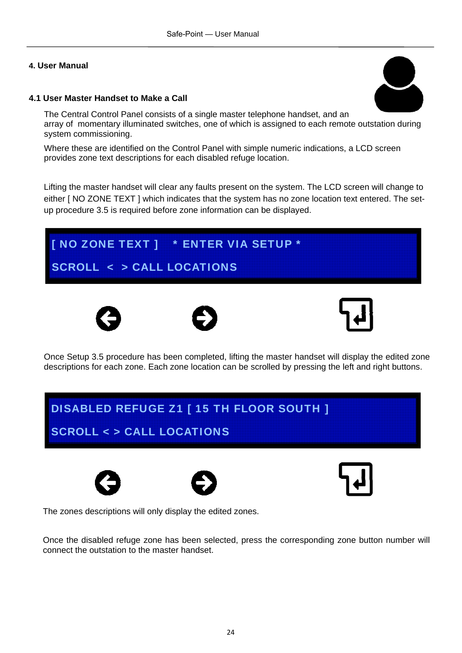#### **4.1 User Master Handset to Make a Call**

The Central Control Panel consists of a single master telephone handset, and an array of momentary illuminated switches, one of which is assigned to each remote outstation during system commissioning.

Where these are identified on the Control Panel with simple numeric indications, a LCD screen provides zone text descriptions for each disabled refuge location.

Lifting the master handset will clear any faults present on the system. The LCD screen will change to either [ NO ZONE TEXT ] which indicates that the system has no zone location text entered. The setup procedure 3.5 is required before zone information can be displayed.

## [ NO ZONE TEXT ] \* ENTER VIA SETUP \* SCROLL < > CALL LOCATIONS







Once Setup 3.5 procedure has been completed, lifting the master handset will display the edited zone descriptions for each zone. Each zone location can be scrolled by pressing the left and right buttons.

# DISABLED REFUGE Z1 [ 15 TH FLOOR SOUTH ] SCROLL < > CALL LOCATIONS







The zones descriptions will only display the edited zones.

Once the disabled refuge zone has been selected, press the corresponding zone button number will connect the outstation to the master handset.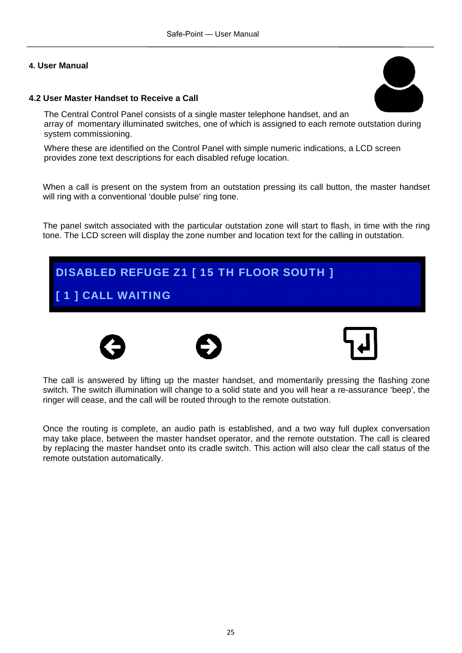#### **4.2 User Master Handset to Receive a Call**

The Central Control Panel consists of a single master telephone handset, and an array of momentary illuminated switches, one of which is assigned to each remote outstation during system commissioning.

Where these are identified on the Control Panel with simple numeric indications, a LCD screen provides zone text descriptions for each disabled refuge location.

When a call is present on the system from an outstation pressing its call button, the master handset will ring with a conventional 'double pulse' ring tone.

The panel switch associated with the particular outstation zone will start to flash, in time with the ring tone. The LCD screen will display the zone number and location text for the calling in outstation.









The call is answered by lifting up the master handset, and momentarily pressing the flashing zone switch. The switch illumination will change to a solid state and you will hear a re-assurance 'beep', the ringer will cease, and the call will be routed through to the remote outstation.

Once the routing is complete, an audio path is established, and a two way full duplex conversation may take place, between the master handset operator, and the remote outstation. The call is cleared by replacing the master handset onto its cradle switch. This action will also clear the call status of the remote outstation automatically.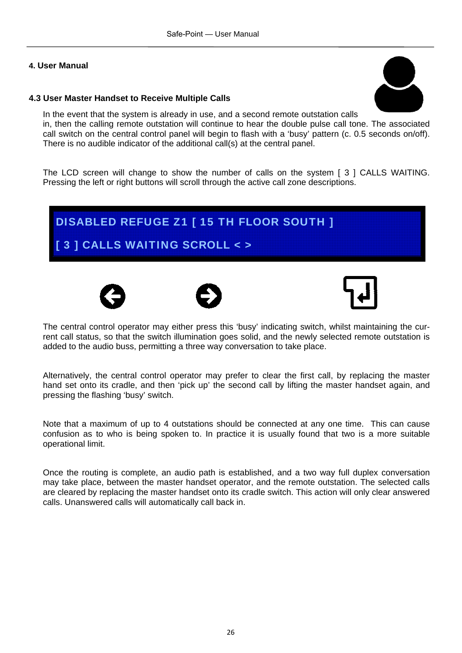#### **4.3 User Master Handset to Receive Multiple Calls**



In the event that the system is already in use, and a second remote outstation calls in, then the calling remote outstation will continue to hear the double pulse call tone. The associated call switch on the central control panel will begin to flash with a 'busy' pattern (c. 0.5 seconds on/off). There is no audible indicator of the additional call(s) at the central panel.

The LCD screen will change to show the number of calls on the system [ 3 ] CALLS WAITING. Pressing the left or right buttons will scroll through the active call zone descriptions.

### DISABLED REFUGE Z1 [ 15 TH FLOOR SOUTH ]

#### [ 3 ] CALLS WAITING SCROLL <>







The central control operator may either press this 'busy' indicating switch, whilst maintaining the current call status, so that the switch illumination goes solid, and the newly selected remote outstation is added to the audio buss, permitting a three way conversation to take place.

Alternatively, the central control operator may prefer to clear the first call, by replacing the master hand set onto its cradle, and then 'pick up' the second call by lifting the master handset again, and pressing the flashing 'busy' switch.

Note that a maximum of up to 4 outstations should be connected at any one time. This can cause confusion as to who is being spoken to. In practice it is usually found that two is a more suitable operational limit.

Once the routing is complete, an audio path is established, and a two way full duplex conversation may take place, between the master handset operator, and the remote outstation. The selected calls are cleared by replacing the master handset onto its cradle switch. This action will only clear answered calls. Unanswered calls will automatically call back in.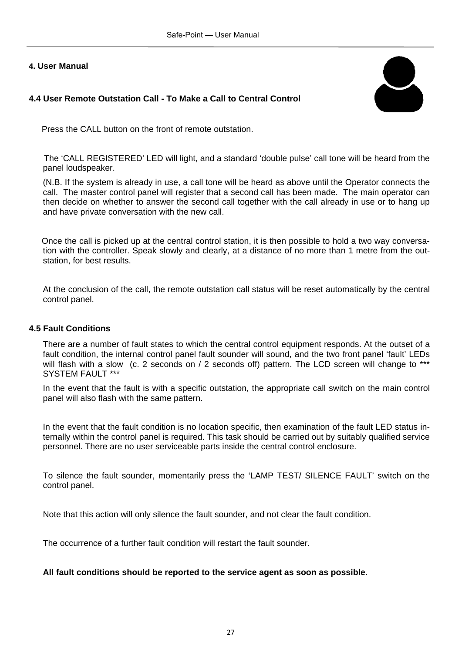#### **4.4 User Remote Outstation Call - To Make a Call to Central Control**



Press the CALL button on the front of remote outstation.

The 'CALL REGISTERED' LED will light, and a standard 'double pulse' call tone will be heard from the panel loudspeaker.

(N.B. If the system is already in use, a call tone will be heard as above until the Operator connects the call. The master control panel will register that a second call has been made. The main operator can then decide on whether to answer the second call together with the call already in use or to hang up and have private conversation with the new call.

Once the call is picked up at the central control station, it is then possible to hold a two way conversation with the controller. Speak slowly and clearly, at a distance of no more than 1 metre from the outstation, for best results.

At the conclusion of the call, the remote outstation call status will be reset automatically by the central control panel.

#### **4.5 Fault Conditions**

There are a number of fault states to which the central control equipment responds. At the outset of a fault condition, the internal control panel fault sounder will sound, and the two front panel 'fault' LEDs will flash with a slow (c. 2 seconds on / 2 seconds off) pattern. The LCD screen will change to \*\*\* SYSTEM FAULT \*\*\*

In the event that the fault is with a specific outstation, the appropriate call switch on the main control panel will also flash with the same pattern.

In the event that the fault condition is no location specific, then examination of the fault LED status internally within the control panel is required. This task should be carried out by suitably qualified service personnel. There are no user serviceable parts inside the central control enclosure.

To silence the fault sounder, momentarily press the 'LAMP TEST/ SILENCE FAULT' switch on the control panel.

Note that this action will only silence the fault sounder, and not clear the fault condition.

The occurrence of a further fault condition will restart the fault sounder.

#### **All fault conditions should be reported to the service agent as soon as possible.**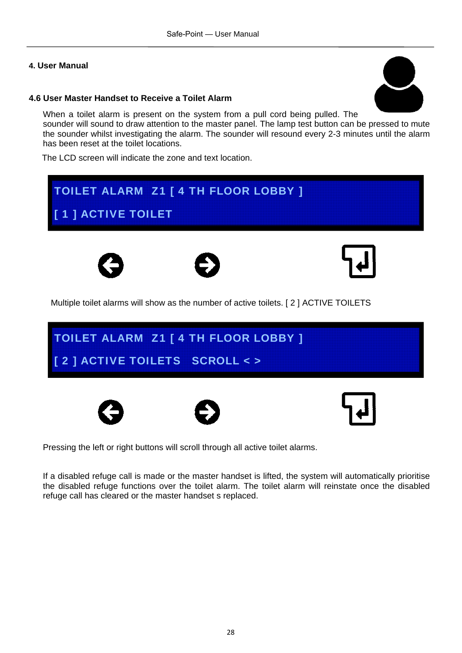#### **4.6 User Master Handset to Receive a Toilet Alarm**

When a toilet alarm is present on the system from a pull cord being pulled. The sounder will sound to draw attention to the master panel. The lamp test button can be pressed to mute the sounder whilst investigating the alarm. The sounder will resound every 2-3 minutes until the alarm has been reset at the toilet locations.

The LCD screen will indicate the zone and text location.

# Multiple toilet alarms will show as the number of active toilets. [ 2 ] ACTIVE TOILETS TOILET ALARM Z1 [ 4 TH FLOOR LOBBY ] [ 1 ] ACTIVE TOILET TOILET ALARM Z1 [ 4 TH FLOOR LOBBY ] [ 2 ] ACTIVE TOILETS SCROLL < >

Pressing the left or right buttons will scroll through all active toilet alarms.

If a disabled refuge call is made or the master handset is lifted, the system will automatically prioritise the disabled refuge functions over the toilet alarm. The toilet alarm will reinstate once the disabled refuge call has cleared or the master handset s replaced.